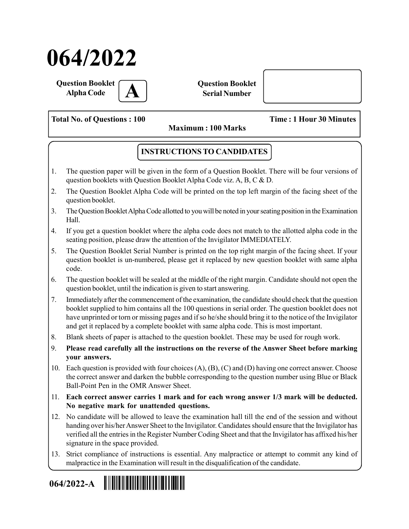# 064/2022

Question Booklet **Alpha Code** 

Question Booklet Serial Number

Total No. of Questions : 100 Time : 1 Hour 30 Minutes

Maximum : 100 Marks

# INSTRUCTIONS TO CANDIDATES

- 1. The question paper will be given in the form of a Question Booklet. There will be four versions of question booklets with Question Booklet Alpha Code viz. A, B, C & D.
- 2. The Question Booklet Alpha Code will be printed on the top left margin of the facing sheet of the question booklet.
- 3. The Question Booklet Alpha Code allotted to you will be noted in your seating position in the Examination Hall.
- 4. If you get a question booklet where the alpha code does not match to the allotted alpha code in the seating position, please draw the attention of the Invigilator IMMEDIATELY.
- 5. The Question Booklet Serial Number is printed on the top right margin of the facing sheet. If your question booklet is un-numbered, please get it replaced by new question booklet with same alpha code.
- 6. The question booklet will be sealed at the middle of the right margin. Candidate should not open the question booklet, until the indication is given to start answering.
- 7. Immediately after the commencement of the examination, the candidate should check that the question booklet supplied to him contains all the 100 questions in serial order. The question booklet does not have unprinted or torn or missing pages and if so he/she should bring it to the notice of the Invigilator and get it replaced by a complete booklet with same alpha code. This is most important.
- 8. Blank sheets of paper is attached to the question booklet. These may be used for rough work.
- 9. Please read carefully all the instructions on the reverse of the Answer Sheet before marking your answers.
- 10. Each question is provided with four choices (A), (B), (C) and (D) having one correct answer. Choose the correct answer and darken the bubble corresponding to the question number using Blue or Black Ball-Point Pen in the OMR Answer Sheet.
- 11. Each correct answer carries 1 mark and for each wrong answer 1/3 mark will be deducted. No negative mark for unattended questions.
- 12. No candidate will be allowed to leave the examination hall till the end of the session and without handing over his/her Answer Sheet to the Invigilator. Candidates should ensure that the Invigilator has verified all the entries in the Register Number Coding Sheet and that the Invigilator has affixed his/her signature in the space provided.
- 13. Strict compliance of instructions is essential. Any malpractice or attempt to commit any kind of malpractice in the Examination will result in the disqualification of the candidate.

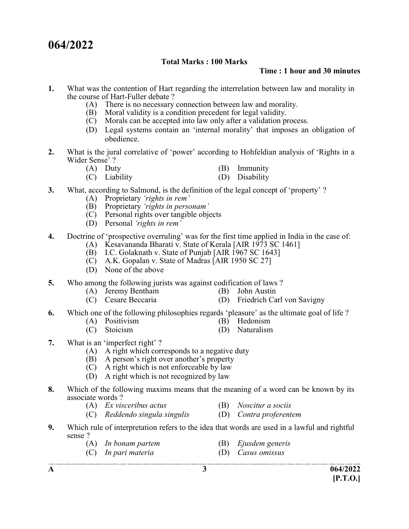# 064/2022

### Total Marks : 100 Marks

#### Time : 1 hour and 30 minutes

- 1. What was the contention of Hart regarding the interrelation between law and morality in the course of Hart-Fuller debate ?
	- (A) There is no necessary connection between law and morality.
	- (B) Moral validity is a condition precedent for legal validity.
	- (C) Morals can be accepted into law only after a validation process.
	- (D) Legal systems contain an 'internal morality' that imposes an obligation of obedience.
- 2. What is the jural correlative of 'power' according to Hohfeldian analysis of 'Rights in a Wider Sense' ?
	- (A) Duty (B) Immunity
	- (C) Liability (D) Disability
- 3. What, according to Salmond, is the definition of the legal concept of 'property' ?
	- (A) Proprietary 'rights in rem'
	- (B) Proprietary 'rights in personam'
	- (C) Personal rights over tangible objects
	- (D) Personal 'rights in rem'
- 4. Doctrine of 'prospective overruling' was for the first time applied in India in the case of:
	- (A) Kesavananda Bharati v. State of Kerala [AIR 1973 SC 1461]
	- $(B)$  I.C. Golaknath v. State of Punjab [AIR 1967 SC 1643]
	- $\overrightarrow{C}$  A.K. Gopalan v. State of Madras [AIR 1950 SC 27]
	- (D) None of the above
- 5. Who among the following jurists was against codification of laws ?
	- (A) Jeremy Bentham (B) John Austin
- - (C) Cesare Beccaria (D) Friedrich Carl von Savigny
- 6. Which one of the following philosophies regards 'pleasure' as the ultimate goal of life ?
	- (A) Positivism (B) Hedonism
	- (C) Stoicism (D) Naturalism
- 

- 7. What is an 'imperfect right' ?
	- (A) A right which corresponds to a negative duty
- (B) A person's right over another's property
- (C) A right which is not enforceable by law
	- (D) A right which is not recognized by law
- 8. Which of the following maxims means that the meaning of a word can be known by its associate words ?
	- (A) Ex visceribus actus (B) Noscitur a sociis
	- (C) Reddendo singula singulis (D) Contra proferentem
- 9. Which rule of interpretation refers to the idea that words are used in a lawful and rightful sense ?
	- (A) In bonam partem (B) Ejusdem generis
		-
	- (C) In pari materia (D) Casus omissus

- A  $3$  064/2022  $[P.T.O.]$
-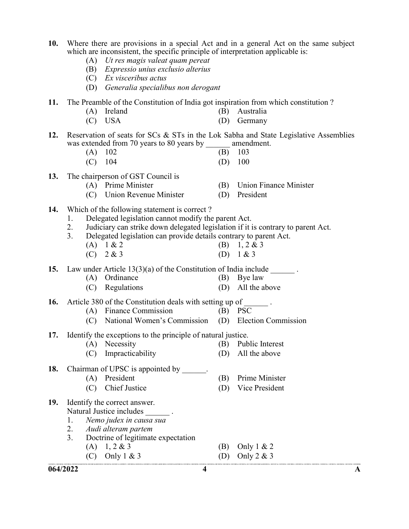- 10. Where there are provisions in a special Act and in a general Act on the same subject which are inconsistent, the specific principle of interpretation applicable is:
	- (A) Ut res magis valeat quam pereat
	- (B) Expressio unius exclusio alterius
	- (C) Ex visceribus actus
	- (D) Generalia specialibus non derogant
- 11. The Preamble of the Constitution of India got inspiration from which constitution ?
	- (A) Ireland (B) Australia
	- (C) USA (D) Germany
- 12. Reservation of seats for SCs & STs in the Lok Sabha and State Legislative Assemblies was extended from 70 years to 80 years by amendment.

| $(A)$ 102 | $(B)$ 103 |  |
|-----------|-----------|--|
| $(C)$ 104 | $(D)$ 100 |  |

- 13. The chairperson of GST Council is
	- (A) Prime Minister (B) Union Finance Minister
	- (C) Union Revenue Minister (D) President
- -
- 14. Which of the following statement is correct ?
	- 1. Delegated legislation cannot modify the parent Act.
	- 2. Judiciary can strike down delegated legislation if it is contrary to parent Act.
	- 3. Delegated legislation can provide details contrary to parent Act.
		- (A)  $1 \& 2$  (B)  $1, 2 \& 3$ (C)  $2 \& 3$  (D)  $1 \& 3$

15. Law under Article 13(3)(a) of the Constitution of India include  $\qquad \qquad$ .

- (A) Ordinance (B) Bye law
- (C) Regulations (D) All the above

16. Article 380 of the Constitution deals with setting up of  $\qquad \qquad$ .

- (A) Finance Commission (B) PSC
- (C) National Women's Commission (D) Election Commission

17. Identify the exceptions to the principle of natural justice.

- (A) Necessity (B) Public Interest
- (C) Impracticability (D) All the above
- 18. Chairman of UPSC is appointed by \_\_\_\_\_. (A) President (B) Prime Minister (C) Chief Justice (D) Vice President
- 19. Identify the correct answer. Natural Justice includes \_\_\_\_\_\_ .
	- 1. Nemo judex in causa sua
	- 2. Audi alteram partem
	- 3. Doctrine of legitimate expectation
		- (A)  $1, 2 \& 3$  (B) Only  $1 \& 2$ 
			- (C) Only  $1 \& 3$  (D) Only  $2 \& 3$
- 
-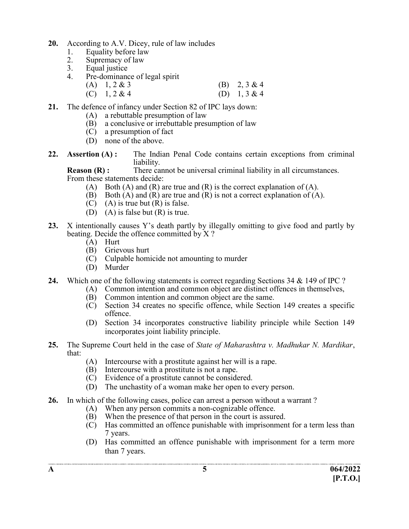- 20. According to A.V. Dicey, rule of law includes
	- 1. Equality before law
	- 2. Supremacy of law<br>3. Equal iustice
	- Equal justice
	- 4. Pre-dominance of legal spirit
		- (A)  $1, 2 \& 3$  (B)  $2, 3 \& 4$ (C)  $1, 2 \& 4$  (D)  $1, 3 \& 4$
- 21. The defence of infancy under Section 82 of IPC lays down:
	- (A) a rebuttable presumption of law
	- (B) a conclusive or irrebuttable presumption of law
	- (C) a presumption of fact
	- (D) none of the above.
- 22. Assertion (A): The Indian Penal Code contains certain exceptions from criminal liability.

**Reason (R) :** There cannot be universal criminal liability in all circumstances. From these statements decide:

- (A) Both (A) and (R) are true and (R) is the correct explanation of (A).
- (B) Both  $(A)$  and  $(R)$  are true and  $(R)$  is not a correct explanation of  $(A)$ .
- $(C)$  (A) is true but  $(R)$  is false.
- (D) (A) is false but (R) is true.
- 23. X intentionally causes Y's death partly by illegally omitting to give food and partly by beating. Decide the offence committed by X ?
	- (A) Hurt
	- (B) Grievous hurt
	- (C) Culpable homicide not amounting to murder
	- (D) Murder
- 24. Which one of the following statements is correct regarding Sections 34 & 149 of IPC ?
	- (A) Common intention and common object are distinct offences in themselves,
	- (B) Common intention and common object are the same.
	- (C) Section 34 creates no specific offence, while Section 149 creates a specific offence.
	- (D) Section 34 incorporates constructive liability principle while Section 149 incorporates joint liability principle.
- 25. The Supreme Court held in the case of State of Maharashtra v. Madhukar N. Mardikar, that:
	- (A) Intercourse with a prostitute against her will is a rape.
	- (B) Intercourse with a prostitute is not a rape.
	- (C) Evidence of a prostitute cannot be considered.
	- (D) The unchastity of a woman make her open to every person.
- 26. In which of the following cases, police can arrest a person without a warrant ?
	- (A) When any person commits a non-cognizable offence.
	- (B) When the presence of that person in the court is assured.
	- (C) Has committed an offence punishable with imprisonment for a term less than 7 years.
	- (D) Has committed an offence punishable with imprisonment for a term more than 7 years.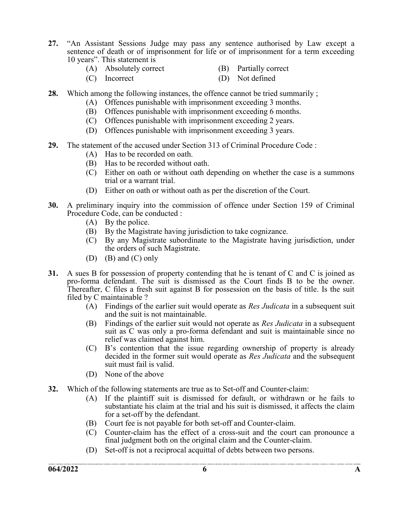- 27. "An Assistant Sessions Judge may pass any sentence authorised by Law except a sentence of death or of imprisonment for life or of imprisonment for a term exceeding 10 years". This statement is
	- (A) Absolutely correct (B) Partially correct
		-
	- (C) Incorrect (D) Not defined
- 
- 28. Which among the following instances, the offence cannot be tried summarily;
	- (A) Offences punishable with imprisonment exceeding 3 months.
	- (B) Offences punishable with imprisonment exceeding 6 months.
	- (C) Offences punishable with imprisonment exceeding 2 years.
	- (D) Offences punishable with imprisonment exceeding 3 years.
- 29. The statement of the accused under Section 313 of Criminal Procedure Code :
	- (A) Has to be recorded on oath.
	- (B) Has to be recorded without oath.
	- (C) Either on oath or without oath depending on whether the case is a summons trial or a warrant trial.
	- (D) Either on oath or without oath as per the discretion of the Court.
- 30. A preliminary inquiry into the commission of offence under Section 159 of Criminal Procedure Code, can be conducted :
	- (A) By the police.
	- (B) By the Magistrate having jurisdiction to take cognizance.
	- (C) By any Magistrate subordinate to the Magistrate having jurisdiction, under the orders of such Magistrate.
	- (D) (B) and (C) only
- 31. A sues B for possession of property contending that he is tenant of C and C is joined as pro-forma defendant. The suit is dismissed as the Court finds B to be the owner. Thereafter, C files a fresh suit against B for possession on the basis of title. Is the suit filed by C maintainable ?
	- (A) Findings of the earlier suit would operate as *Res Judicata* in a subsequent suit and the suit is not maintainable.
	- (B) Findings of the earlier suit would not operate as *Res Judicata* in a subsequent suit as C was only a pro-forma defendant and suit is maintainable since no relief was claimed against him.
	- (C) B's contention that the issue regarding ownership of property is already decided in the former suit would operate as *Res Judicata* and the subsequent suit must fail is valid.
	- (D) None of the above
- 32. Which of the following statements are true as to Set-off and Counter-claim:
	- (A) If the plaintiff suit is dismissed for default, or withdrawn or he fails to substantiate his claim at the trial and his suit is dismissed, it affects the claim for a set-off by the defendant.
	- (B) Court fee is not payable for both set-off and Counter-claim.
	- (C) Counter-claim has the effect of a cross-suit and the court can pronounce a final judgment both on the original claim and the Counter-claim.
	- (D) Set-off is not a reciprocal acquittal of debts between two persons.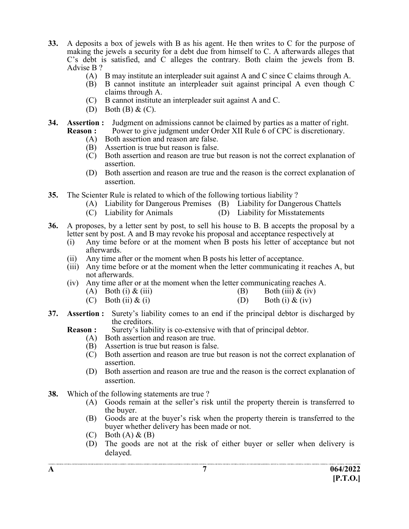- 33. A deposits a box of jewels with B as his agent. He then writes to C for the purpose of making the jewels a security for a debt due from himself to C. A afterwards alleges that C's debt is satisfied, and C alleges the contrary. Both claim the jewels from B. Advise B ?
	- (A) B may institute an interpleader suit against A and C since C claims through A.
	- (B) B cannot institute an interpleader suit against principal A even though C claims through A.
	- (C) B cannot institute an interpleader suit against A and C.
	- (D) Both (B) & (C).
- 34. Assertion : Judgment on admissions cannot be claimed by parties as a matter of right. **Reason :** Power to give judgment under Order XII Rule 6 of CPC is discretionary.
	- (A) Both assertion and reason are false. (B) Assertion is true but reason is false.
	- (C) Both assertion and reason are true but reason is not the correct explanation of assertion.
	- (D) Both assertion and reason are true and the reason is the correct explanation of assertion.
- 35. The Scienter Rule is related to which of the following tortious liability ?
	- (A) Liability for Dangerous Premises (B) Liability for Dangerous Chattels
	- (C) Liability for Animals (D) Liability for Misstatements
- 36. A proposes, by a letter sent by post, to sell his house to B. B accepts the proposal by a letter sent by post. A and B may revoke his proposal and acceptance respectively at
	- (i) Any time before or at the moment when B posts his letter of acceptance but not afterwards.
	- (ii) Any time after or the moment when B posts his letter of acceptance.
	- (iii) Any time before or at the moment when the letter communicating it reaches A, but not afterwards.
	- (iv) Any time after or at the moment when the letter communicating reaches A.
		- (A) Both (i)  $\&$  (iii) (B) Both (iii)  $\&$  (iv)
		- (C) Both (ii)  $\&$  (i) (D) Both (i)  $\&$  (iv)
- 37. Assertion : Surety's liability comes to an end if the principal debtor is discharged by the creditors.

**Reason :** Surety's liability is co-extensive with that of principal debtor.

- (A) Both assertion and reason are true.
- (B) Assertion is true but reason is false.
- (C) Both assertion and reason are true but reason is not the correct explanation of assertion.
- (D) Both assertion and reason are true and the reason is the correct explanation of assertion.
- 38. Which of the following statements are true ?
	- (A) Goods remain at the seller's risk until the property therein is transferred to the buyer.
	- (B) Goods are at the buyer's risk when the property therein is transferred to the buyer whether delivery has been made or not.
	- $(C)$  Both  $(A) \& (B)$
	- (D) The goods are not at the risk of either buyer or seller when delivery is delayed.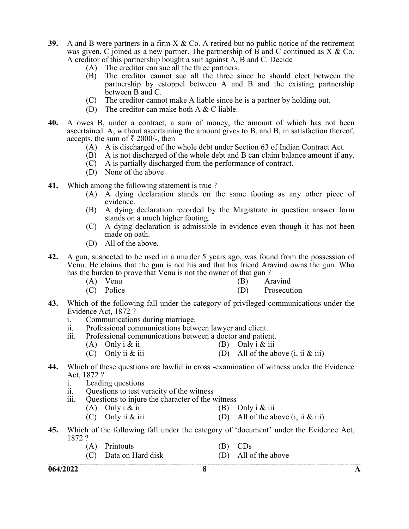- 39. A and B were partners in a firm  $X \&$  Co. A retired but no public notice of the retirement was given. C joined as a new partner. The partnership of  $\overline{B}$  and  $C$  continued as  $X \& Co$ . A creditor of this partnership bought a suit against A, B and C. Decide
	- (A) The creditor can sue all the three partners.
	- (B) The creditor cannot sue all the three since he should elect between the partnership by estoppel between A and B and the existing partnership between B and C.
	- (C) The creditor cannot make A liable since he is a partner by holding out.
	- (D) The creditor can make both A  $&$  C liable.
- 40. A owes B, under a contract, a sum of money, the amount of which has not been ascertained. A, without ascertaining the amount gives to B, and B, in satisfaction thereof, accepts, the sum of  $\bar{\tau}$  2000/-, then
	- (A) A is discharged of the whole debt under Section 63 of Indian Contract Act.
	- $\overrightarrow{B}$  A is not discharged of the whole debt and B can claim balance amount if any.
	- (C) A is partially discharged from the performance of contract.
	- (D) None of the above
- 41. Which among the following statement is true?
	- (A) A dying declaration stands on the same footing as any other piece of evidence.
	- (B) A dying declaration recorded by the Magistrate in question answer form stands on a much higher footing.
	- (C) A dying declaration is admissible in evidence even though it has not been made on oath.
	- (D) All of the above.
- 42. A gun, suspected to be used in a murder 5 years ago, was found from the possession of Venu. He claims that the gun is not his and that his friend Aravind owns the gun. Who has the burden to prove that Venu is not the owner of that gun ?
	- (A) Venu (B) Aravind
	- (C) Police (D) Prosecution
- 43. Which of the following fall under the category of privileged communications under the Evidence Act, 1872 ?
	- i. Communications during marriage.
	- ii. Professional communications between lawyer and client.
	- iii. Professional communications between a doctor and patient.
		- (A) Only i & ii  $(B)$  Only i & iii
			- (C) Only ii  $\&$  iii (D) All of the above (i, ii  $\&$  iii)
- 44. Which of these questions are lawful in cross -examination of witness under the Evidence Act, 1872 ?
	- i. Leading questions
	- ii. Questions to test veracity of the witness
	- iii. Questions to injure the character of the witness
		- (A) Only i & ii (B) Only i & iii
		- (C) Only ii  $\&$  iii (D) All of the above  $(i, ii \& iii)$
- 45. Which of the following fall under the category of 'document' under the Evidence Act, 1872 ?
	- (A) Printouts (B) CDs
	- (C) Data on Hard disk (D) All of the above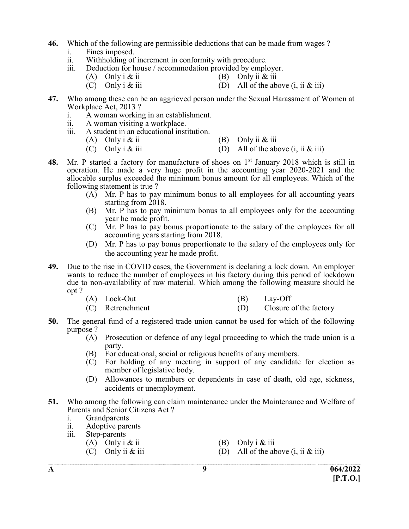- 46. Which of the following are permissible deductions that can be made from wages ? i. Fines imposed.
	- ii. Withholding of increment in conformity with procedure.
	- iii. Deduction for house / accommodation provided by employer.
		- (A) Only i & ii (B) Only ii & iii
		- (C) Only i & iii  $(D)$  All of the above (i, ii & iii)
- 47. Who among these can be an aggrieved person under the Sexual Harassment of Women at Workplace Act, 2013 ?
	- i. A woman working in an establishment.
	- ii. A woman visiting a workplace.
	- iii. A student in an educational institution.<br>(A) Only i & ii
		- (B) Only ii  $&$  iii
		- (C) Only i & iii (D) All of the above  $(i, ii \& iii)$
- 48. Mr. P started a factory for manufacture of shoes on  $1<sup>st</sup>$  January 2018 which is still in operation. He made a very huge profit in the accounting year 2020-2021 and the allocable surplus exceeded the minimum bonus amount for all employees. Which of the following statement is true ?
	- $(A)$  Mr. P has to pay minimum bonus to all employees for all accounting years starting from 2018.
	- (B) Mr. P has to pay minimum bonus to all employees only for the accounting year he made profit.
	- (C) Mr. P has to pay bonus proportionate to the salary of the employees for all accounting years starting from 2018.
	- (D) Mr. P has to pay bonus proportionate to the salary of the employees only for the accounting year he made profit.
- 49. Due to the rise in COVID cases, the Government is declaring a lock down. An employer wants to reduce the number of employees in his factory during this period of lockdown due to non-availability of raw material. Which among the following measure should he opt ?

| $(A)$ Lock-Out | $(B)$ Lay-Off |
|----------------|---------------|
|                |               |

- (C) Retrenchment (D) Closure of the factory
- 50. The general fund of a registered trade union cannot be used for which of the following purpose ?
	- (A) Prosecution or defence of any legal proceeding to which the trade union is a party.
	- (B) For educational, social or religious benefits of any members.
	- (C) For holding of any meeting in support of any candidate for election as member of legislative body.
	- (D) Allowances to members or dependents in case of death, old age, sickness, accidents or unemployment.
- 51. Who among the following can claim maintenance under the Maintenance and Welfare of Parents and Senior Citizens Act ?
	- i. Grandparents
	- ii. Adoptive parents
	- iii. Step-parents
		- (A) Only i  $\&$  ii (B) Only i  $\&$  iii
		- (C) Only ii & iii  $(D)$  All of the above  $(i, ii \& iii)$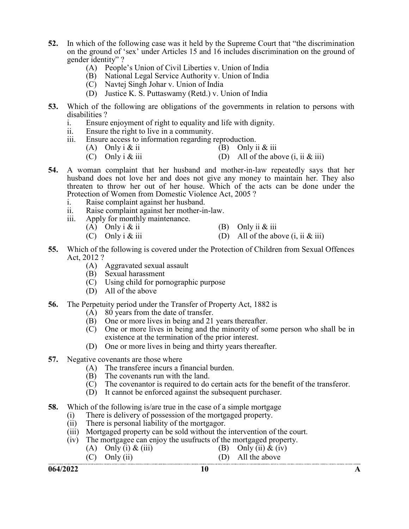- 52. In which of the following case was it held by the Supreme Court that "the discrimination on the ground of 'sex' under Articles 15 and 16 includes discrimination on the ground of gender identity" ?
	- (A) People's Union of Civil Liberties v. Union of India
	- (B) National Legal Service Authority v. Union of India
	- (C) Navtej Singh Johar v. Union of India
	- (D) Justice K. S. Puttaswamy (Retd.) v. Union of India
- 53. Which of the following are obligations of the governments in relation to persons with disabilities ?
	- i. Ensure enjoyment of right to equality and life with dignity.
	- ii. Ensure the right to live in a community.
	- iii. Ensure access to information regarding reproduction.
		- (A) Only i & ii  $\overline{B}$  Only ii & iii
		- (C) Only  $i \& \text{iii}$  (D) All of the above  $(i, ii \& iii)$
- 54. A woman complaint that her husband and mother-in-law repeatedly says that her husband does not love her and does not give any money to maintain her. They also threaten to throw her out of her house. Which of the acts can be done under the Protection of Women from Domestic Violence Act, 2005 ?
	- i. Raise complaint against her husband.
	- ii. Raise complaint against her mother-in-law.
	- iii. Apply for monthly maintenance.
		-
		- (A) Only i & ii  $(B)$  Only ii & iii
		- (C) Only  $i \& \text{iii}$  (D) All of the above  $(i, ii \& iii)$
- 55. Which of the following is covered under the Protection of Children from Sexual Offences Act, 2012 ?
	- (A) Aggravated sexual assault
	- (B) Sexual harassment
	- $\tilde{C}$  Using child for pornographic purpose
	- (D) All of the above
- 56. The Perpetuity period under the Transfer of Property Act, 1882 is
	- $(A)$  80 years from the date of transfer.
	- (B) One or more lives in being and 21 years thereafter.
	- (C) One or more lives in being and the minority of some person who shall be in existence at the termination of the prior interest.
	- (D) One or more lives in being and thirty years thereafter.
- 57. Negative covenants are those where
	- (A) The transferee incurs a financial burden.
	- (B) The covenants run with the land.
	- (C) The covenantor is required to do certain acts for the benefit of the transferor.
	- (D) It cannot be enforced against the subsequent purchaser.
- 58. Which of the following is/are true in the case of a simple mortgage
	- (i) There is delivery of possession of the mortgaged property.<br>(ii) There is personal liability of the mortgagor.
	- There is personal liability of the mortgagor.
	- (iii) Mortgaged property can be sold without the intervention of the court.
	- (iv) The mortgagee can enjoy the usufructs of the mortgaged property.
		- (A) Only (i) & (iii) (B) Only (ii) & (iv)
		- (C) Only (ii) (D) All the above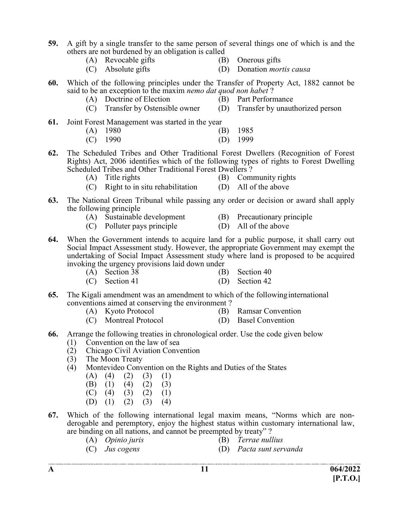- 59. A gift by a single transfer to the same person of several things one of which is and the others are not burdened by an obligation is called
	- (A) Revocable gifts (B) Onerous gifts
		-
	- (C) Absolute gifts (D) Donation mortis causa
- 60. Which of the following principles under the Transfer of Property Act, 1882 cannot be said to be an exception to the maxim nemo dat quod non habet ?
	- (A) Doctrine of Election (B) Part Performance
- - (C) Transfer by Ostensible owner (D) Transfer by unauthorized person
- 
- 61. Joint Forest Management was started in the year
	- (A) 1980 (B) 1985
	- (C) 1990 (D) 1999
- 62. The Scheduled Tribes and Other Traditional Forest Dwellers (Recognition of Forest Rights) Act, 2006 identifies which of the following types of rights to Forest Dwelling Scheduled Tribes and Other Traditional Forest Dwellers ?
	-
	- (A) Title rights (B) Community rights
	- (C) Right to in situ rehabilitation (D) All of the above
- 
- 63. The National Green Tribunal while passing any order or decision or award shall apply the following principle
	- (A) Sustainable development (B) Precautionary principle
		-
	- (C) Polluter pays principle (D) All of the above
- 64. When the Government intends to acquire land for a public purpose, it shall carry out Social Impact Assessment study. However, the appropriate Government may exempt the undertaking of Social Impact Assessment study where land is proposed to be acquired invoking the urgency provisions laid down under
	- (A) Section 38 (B) Section 40
	- (C) Section 41 (D) Section 42
- 65. The Kigali amendment was an amendment to which of the following international conventions aimed at conserving the environment ?
	- (A) Kyoto Protocol (B) Ramsar Convention
		-
	- (C) Montreal Protocol (D) Basel Convention
- -
- 66. Arrange the following treaties in chronological order. Use the code given below
	- (1) Convention on the law of sea
	- (2) Chicago Civil Aviation Convention
	- (3) The Moon Treaty
	- (4) Montevideo Convention on the Rights and Duties of the States
		- $(A)$   $(4)$   $(2)$   $(3)$   $(1)$
- (B) (1) (4) (2) (3)
	- $(C)$  (4) (3) (2) (1)
	- (D)  $(1)$   $(2)$   $(3)$   $(4)$
- 67. Which of the following international legal maxim means, "Norms which are nonderogable and peremptory, enjoy the highest status within customary international law, are binding on all nations, and cannot be preempted by treaty" ?
	-
	- (A) Opinio juris (B) Terrae nullius
	- (C) Jus cogens (D) Pacta sunt servanda
		-
-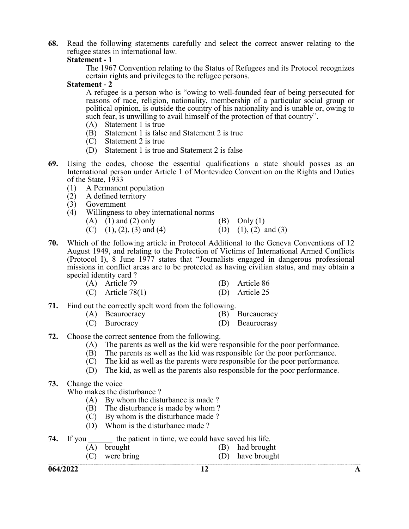68. Read the following statements carefully and select the correct answer relating to the refugee states in international law.

#### Statement - 1

 The 1967 Convention relating to the Status of Refugees and its Protocol recognizes certain rights and privileges to the refugee persons.

#### Statement - 2

 A refugee is a person who is "owing to well-founded fear of being persecuted for reasons of race, religion, nationality, membership of a particular social group or political opinion, is outside the country of his nationality and is unable or, owing to such fear, is unwilling to avail himself of the protection of that country".

- (A) Statement 1 is true
- (B) Statement 1 is false and Statement 2 is true
- (C) Statement 2 is true
- (D) Statement 1 is true and Statement 2 is false
- 69. Using the codes, choose the essential qualifications a state should posses as an International person under Article 1 of Montevideo Convention on the Rights and Duties of the State, 1933
	- (1) A Permanent population
	- (2) A defined territory<br>(3) Government
	- **Government**
	- (4) Willingness to obey international norms

|  | $(A)$ $(1)$ and $(2)$ only |  | (B) Only $(1)$ |
|--|----------------------------|--|----------------|
|--|----------------------------|--|----------------|

- (C) (1), (2), (3) and (4) (D) (1), (2) and (3)
- 70. Which of the following article in Protocol Additional to the Geneva Conventions of 12 August 1949, and relating to the Protection of Victims of International Armed Conflicts (Protocol I), 8 June 1977 states that "Journalists engaged in dangerous professional missions in conflict areas are to be protected as having civilian status, and may obtain a special identity card ?

| (A) Article 79      | (B) Article 86 |
|---------------------|----------------|
| $(C)$ Article 78(1) | (D) Article 25 |

- 71. Find out the correctly spelt word from the following.
	- (A) Beaurocracy (B) Bureaucracy
	- (C) Burocracy (D) Beaurocrasy
- 72. Choose the correct sentence from the following.
	- (A) The parents as well as the kid were responsible for the poor performance.
	- (B) The parents as well as the kid was responsible for the poor performance.
	- (C) The kid as well as the parents were responsible for the poor performance.
	- (D) The kid, as well as the parents also responsible for the poor performance.

## 73. Change the voice

Who makes the disturbance ?

- (A) By whom the disturbance is made ?
- (B) The disturbance is made by whom ?
- $\overrightarrow{C}$  By whom is the disturbance made?
- (D) Whom is the disturbance made ?

|  | <b>74.</b> If you |  |  | the patient in time, we could have saved his life. |
|--|-------------------|--|--|----------------------------------------------------|
|--|-------------------|--|--|----------------------------------------------------|

| $(A)$ brought                        | (B) had brought        |
|--------------------------------------|------------------------|
| $(\bigcap_{i=1}^n$ $\bigcap_{i=1}^n$ | $(D)$ leave leaves and |

(C) were bring (D) have brought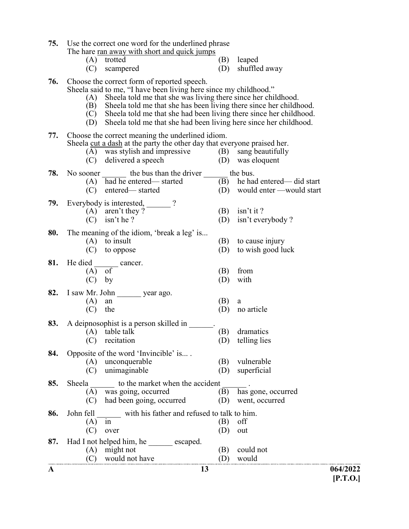75. Use the correct one word for the underlined phrase The hare ran away with short and quick jumps

|             | THE HALE TAIL AN AVAILING SHOTE AND MATCH TAILIDD |  |                   |
|-------------|---------------------------------------------------|--|-------------------|
| (A) trotted |                                                   |  | (B) leaped        |
|             | (C) scampered                                     |  | (D) shuffled away |

76. Choose the correct form of reported speech.

Sheela said to me, "I have been living here since my childhood."

- (A) Sheela told me that she was living there since her childhood.
	- $(B)$  Sheela told me that she has been living there since her childhood.
	- $\tilde{C}$  Sheela told me that she had been living there since her childhood.
	- (D) Sheela told me that she had been living here since her childhood.

| 77. | Choose the correct meaning the underlined idiom.<br>Sheela cut a dash at the party the other day that everyone praised her.<br>(A) was stylish and impressive<br>(C) delivered a speech | (B)<br>sang beautifully<br>(D) was eloquent                               |  |
|-----|-----------------------------------------------------------------------------------------------------------------------------------------------------------------------------------------|---------------------------------------------------------------------------|--|
| 78. | No sooner ________ the bus than the driver<br>(A) had he entered—started<br>entered-started<br>(C)                                                                                      | the bus.<br>(B) he had entered— did start<br>(D) would enter —would start |  |
| 79. | Everybody is interested,<br>$(A)$ aren't they?<br>isn't he?<br>(C)                                                                                                                      | $isn't$ it ?<br>(B)<br>isn't everybody?<br>(D)                            |  |
| 80. | The meaning of the idiom, 'break a leg' is<br>$(A)$ to insult<br>(C)<br>to oppose                                                                                                       | (B)<br>to cause injury<br>to wish good luck<br>(D)                        |  |
| 81. | He died<br>cancer.<br>of<br>(A)<br>by<br>(C)                                                                                                                                            | from<br>(B)<br>with<br>(D)                                                |  |
| 82. | I saw Mr. John year ago.<br>(A)<br>${\rm an}$<br>(C)<br>the                                                                                                                             | (B)<br>a<br>no article<br>(D)                                             |  |
| 83. | A deipnosophist is a person skilled in<br>$(A)$ table talk<br>recitation<br>(C)                                                                                                         | (B)<br>dramatics<br>(D)<br>telling lies                                   |  |
| 84. | Opposite of the word 'Invincible' is<br>(A) unconquerable<br>unimaginable<br>(C)                                                                                                        | (B)<br>vulnerable<br>superficial<br>(D)                                   |  |
| 85. | Sheela to the market when the accident<br>was going, occurred<br>(A)<br>had been going, occurred<br>(C)                                                                                 | has gone, occurred<br>(B)<br>(D)<br>went, occurred                        |  |
| 86. | John fell<br>with his father and refused to talk to him.<br>(A)<br>1n<br>(C)<br>over                                                                                                    | off<br>(B)<br>(D)<br>out                                                  |  |
| 87. | Had I not helped him, he escaped.<br>might not<br>(A)                                                                                                                                   | (B)<br>could not                                                          |  |

(C) would not have (D) would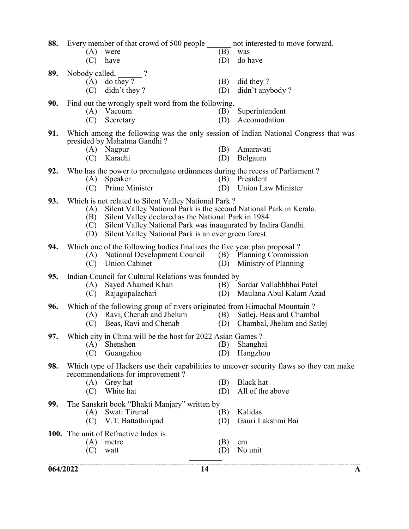| 88. | (A)<br>(C)               | Every member of that crowd of 500 people<br>were<br>have                                                                                                                                                                                                                                                    | (B)<br>(D) | not interested to move forward.<br>was<br>do have                                                                               |
|-----|--------------------------|-------------------------------------------------------------------------------------------------------------------------------------------------------------------------------------------------------------------------------------------------------------------------------------------------------------|------------|---------------------------------------------------------------------------------------------------------------------------------|
| 89. | Nobody called,<br>(C)    | (A) do they?<br>didn't they?                                                                                                                                                                                                                                                                                | (B)<br>(D) | did they?<br>didn't anybody?                                                                                                    |
| 90. | (A)<br>(C)               | Find out the wrongly spelt word from the following.<br>Vacuum<br>Secretary                                                                                                                                                                                                                                  | (B)<br>(D) | Superintendent<br>Accomodation                                                                                                  |
| 91. | (C)                      | presided by Mahatma Gandhi?<br>(A) Nagpur<br>Karachi                                                                                                                                                                                                                                                        | (B)<br>(D) | Which among the following was the only session of Indian National Congress that was<br>Amaravati<br>Belgaum                     |
| 92. | (A)<br>(C)               | Who has the power to promulgate ordinances during the recess of Parliament?<br>Speaker<br>Prime Minister                                                                                                                                                                                                    | (B)<br>(D) | President<br><b>Union Law Minister</b>                                                                                          |
| 93. | (A)<br>(B)<br>(C)<br>(D) | Which is not related to Silent Valley National Park?<br>Silent Valley National Park is the second National Park in Kerala.<br>Silent Valley declared as the National Park in 1984.<br>Silent Valley National Park was inaugurated by Indira Gandhi.<br>Silent Valley National Park is an ever green forest. |            |                                                                                                                                 |
| 94. | (C)                      | Which one of the following bodies finalizes the five year plan proposal?<br>(A) National Development Council (B) Planning Commission<br><b>Union Cabinet</b>                                                                                                                                                | (D)        | Ministry of Planning                                                                                                            |
| 95. | (A)<br>(C)               | Indian Council for Cultural Relations was founded by<br>Sayed Ahamed Khan<br>Rajagopalachari                                                                                                                                                                                                                | (B)<br>(D) | Sardar Vallabhbhai Patel<br>Maulana Abul Kalam Azad                                                                             |
| 96. | (C)                      | Which of the following group of rivers originated from Himachal Mountain?<br>(A) Ravi, Chenab and Jhelum<br>Beas, Ravi and Chenab                                                                                                                                                                           | (B)<br>(D) | Satlej, Beas and Chambal<br>Chambal, Jhelum and Satlej                                                                          |
| 97. | (A)<br>(C)               | Which city in China will be the host for 2022 Asian Games?<br>Shenshen<br>Guangzhou                                                                                                                                                                                                                         | (B)<br>(D) | Shanghai<br>Hangzhou                                                                                                            |
| 98. | (C)                      | recommendations for improvement?<br>(A) Grey hat<br>White hat                                                                                                                                                                                                                                               | (B)<br>(D) | Which type of Hackers use their capabilities to uncover security flaws so they can make<br><b>Black</b> hat<br>All of the above |
| 99. | (A)<br>(C)               | The Sanskrit book "Bhakti Manjary" written by<br>Swati Tirunal<br>V.T. Battathiripad                                                                                                                                                                                                                        | (B)<br>(D) | Kalidas<br>Gauri Lakshmi Bai                                                                                                    |
|     | (A)<br>(C)               | 100. The unit of Refractive Index is<br>metre<br>watt                                                                                                                                                                                                                                                       | (B)<br>(D) | cm<br>No unit                                                                                                                   |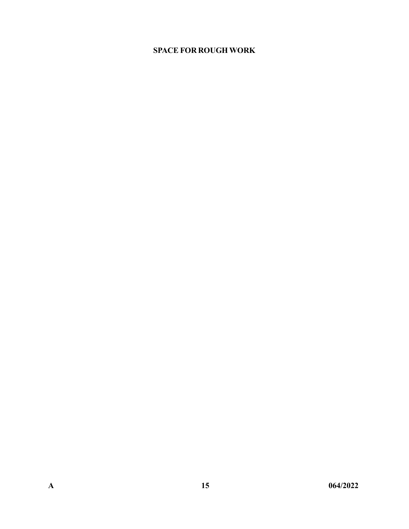# SPACE FOR ROUGH WORK